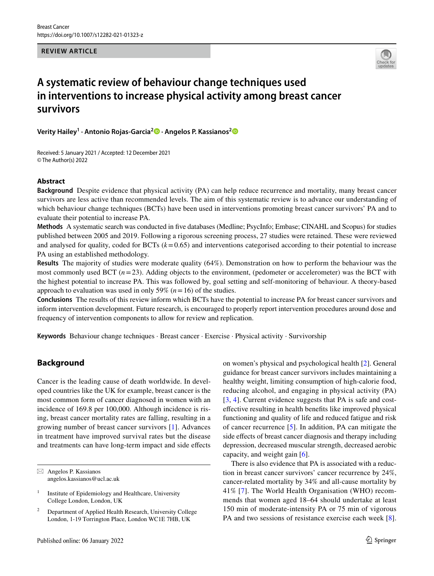**REVIEW ARTICLE**



# **A systematic review of behaviour change techniques used in interventions to increase physical activity among breast cancer survivors**

**Verity Hailey<sup>1</sup> · Antonio Rojas‑Garcia[2](http://orcid.org/0000-0002-7792-4311) · Angelos P. Kassianos[2](http://orcid.org/0000-0001-6428-2623)**

Received: 5 January 2021 / Accepted: 12 December 2021 © The Author(s) 2022

# **Abstract**

**Background** Despite evidence that physical activity (PA) can help reduce recurrence and mortality, many breast cancer survivors are less active than recommended levels. The aim of this systematic review is to advance our understanding of which behaviour change techniques (BCTs) have been used in interventions promoting breast cancer survivors' PA and to evaluate their potential to increase PA.

**Methods** A systematic search was conducted in fve databases (Medline; PsycInfo; Embase; CINAHL and Scopus) for studies published between 2005 and 2019. Following a rigorous screening process, 27 studies were retained. These were reviewed and analysed for quality, coded for BCTs  $(k=0.65)$  and interventions categorised according to their potential to increase PA using an established methodology.

**Results** The majority of studies were moderate quality (64%). Demonstration on how to perform the behaviour was the most commonly used BCT  $(n=23)$ . Adding objects to the environment, (pedometer or accelerometer) was the BCT with the highest potential to increase PA. This was followed by, goal setting and self-monitoring of behaviour. A theory-based approach to evaluation was used in only 59% ( $n = 16$ ) of the studies.

**Conclusions** The results of this review inform which BCTs have the potential to increase PA for breast cancer survivors and inform intervention development. Future research, is encouraged to properly report intervention procedures around dose and frequency of intervention components to allow for review and replication.

**Keywords** Behaviour change techniques · Breast cancer · Exercise · Physical activity · Survivorship

# **Background**

Cancer is the leading cause of death worldwide. In developed countries like the UK for example, breast cancer is the most common form of cancer diagnosed in women with an incidence of 169.8 per 100,000. Although incidence is rising, breast cancer mortality rates are falling, resulting in a growing number of breast cancer survivors [[1](#page-13-0)]. Advances in treatment have improved survival rates but the disease and treatments can have long-term impact and side efects

on women's physical and psychological health [[2\]](#page-13-1). General guidance for breast cancer survivors includes maintaining a healthy weight, limiting consumption of high-calorie food, reducing alcohol, and engaging in physical activity (PA) [[3,](#page-13-2) [4](#page-13-3)]. Current evidence suggests that PA is safe and costefective resulting in health benefts like improved physical functioning and quality of life and reduced fatigue and risk of cancer recurrence [[5\]](#page-13-4). In addition, PA can mitigate the side effects of breast cancer diagnosis and therapy including depression, decreased muscular strength, decreased aerobic capacity, and weight gain [\[6](#page-13-5)].

There is also evidence that PA is associated with a reduction in breast cancer survivors' cancer recurrence by 24%, cancer-related mortality by 34% and all-cause mortality by 41% [[7\]](#page-13-6). The World Health Organisation (WHO) recommends that women aged 18–64 should undertake at least 150 min of moderate-intensity PA or 75 min of vigorous PA and two sessions of resistance exercise each week [\[8](#page-13-7)].

 $\boxtimes$  Angelos P. Kassianos angelos.kassianos@ucl.ac.uk

<sup>&</sup>lt;sup>1</sup> Institute of Epidemiology and Healthcare, University College London, London, UK

<sup>2</sup> Department of Applied Health Research, University College London, 1-19 Torrington Place, London WC1E 7HB, UK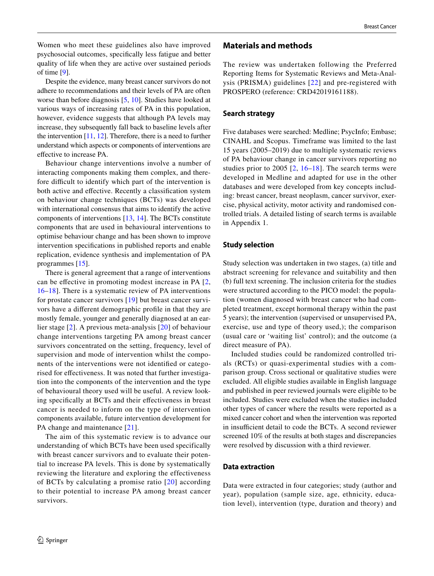Women who meet these guidelines also have improved psychosocial outcomes, specifcally less fatigue and better quality of life when they are active over sustained periods of time [[9\]](#page-13-8).

Despite the evidence, many breast cancer survivors do not adhere to recommendations and their levels of PA are often worse than before diagnosis [[5,](#page-13-4) [10](#page-13-9)]. Studies have looked at various ways of increasing rates of PA in this population, however, evidence suggests that although PA levels may increase, they subsequently fall back to baseline levels after the intervention [\[11](#page-14-0), [12\]](#page-14-1). Therefore, there is a need to further understand which aspects or components of interventions are efective to increase PA.

Behaviour change interventions involve a number of interacting components making them complex, and therefore difficult to identify which part of the intervention is both active and efective. Recently a classifcation system on behaviour change techniques (BCTs) was developed with international consensus that aims to identify the active components of interventions [\[13](#page-14-2), [14](#page-14-3)]. The BCTs constitute components that are used in behavioural interventions to optimise behaviour change and has been shown to improve intervention specifcations in published reports and enable replication, evidence synthesis and implementation of PA programmes [\[15](#page-14-4)].

There is general agreement that a range of interventions can be efective in promoting modest increase in PA [\[2,](#page-13-1) [16](#page-14-5)–[18](#page-14-6)]. There is a systematic review of PA interventions for prostate cancer survivors [\[19\]](#page-14-7) but breast cancer survivors have a diferent demographic profle in that they are mostly female, younger and generally diagnosed at an earlier stage [[2](#page-13-1)]. A previous meta-analysis [\[20\]](#page-14-8) of behaviour change interventions targeting PA among breast cancer survivors concentrated on the setting, frequency, level of supervision and mode of intervention whilst the components of the interventions were not identifed or categorised for efectiveness. It was noted that further investigation into the components of the intervention and the type of behavioural theory used will be useful. A review looking specifcally at BCTs and their efectiveness in breast cancer is needed to inform on the type of intervention components available, future intervention development for PA change and maintenance [\[21\]](#page-14-9).

The aim of this systematic review is to advance our understanding of which BCTs have been used specifically with breast cancer survivors and to evaluate their potential to increase PA levels. This is done by systematically reviewing the literature and exploring the effectiveness of BCTs by calculating a promise ratio [[20\]](#page-14-8) according to their potential to increase PA among breast cancer survivors.

# **Materials and methods**

The review was undertaken following the Preferred Reporting Items for Systematic Reviews and Meta-Analysis (PRISMA) guidelines [[22](#page-14-10)] and pre-registered with PROSPERO (reference: CRD42019161188).

### **Search strategy**

Five databases were searched: Medline; PsycInfo; Embase; CINAHL and Scopus. Timeframe was limited to the last 15 years (2005–2019) due to multiple systematic reviews of PA behaviour change in cancer survivors reporting no studies prior to 2005  $[2, 16-18]$  $[2, 16-18]$  $[2, 16-18]$  $[2, 16-18]$  $[2, 16-18]$ . The search terms were developed in Medline and adapted for use in the other databases and were developed from key concepts including: breast cancer, breast neoplasm, cancer survivor, exercise, physical activity, motor activity and randomised controlled trials. A detailed listing of search terms is available in Appendix 1.

### **Study selection**

Study selection was undertaken in two stages, (a) title and abstract screening for relevance and suitability and then (b) full text screening. The inclusion criteria for the studies were structured according to the PICO model: the population (women diagnosed with breast cancer who had completed treatment, except hormonal therapy within the past 5 years); the intervention (supervised or unsupervised PA, exercise, use and type of theory used,); the comparison (usual care or 'waiting list' control); and the outcome (a direct measure of PA).

Included studies could be randomized controlled trials (RCTs) or quasi-experimental studies with a comparison group. Cross sectional or qualitative studies were excluded. All eligible studies available in English language and published in peer reviewed journals were eligible to be included. Studies were excluded when the studies included other types of cancer where the results were reported as a mixed cancer cohort and when the intervention was reported in insufficient detail to code the BCTs. A second reviewer screened 10% of the results at both stages and discrepancies were resolved by discussion with a third reviewer.

### **Data extraction**

Data were extracted in four categories; study (author and year), population (sample size, age, ethnicity, education level), intervention (type, duration and theory) and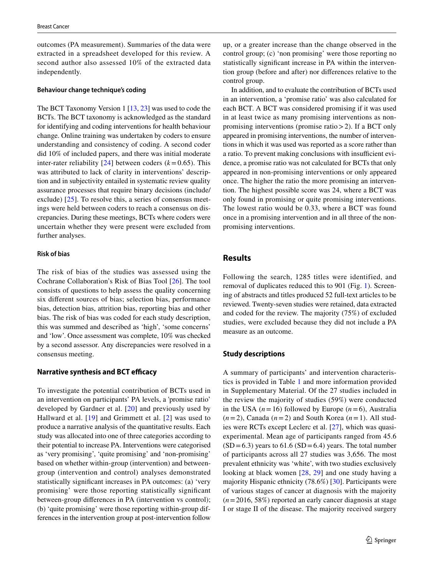outcomes (PA measurement). Summaries of the data were extracted in a spreadsheet developed for this review. A second author also assessed 10% of the extracted data independently.

#### **Behaviour change technique's coding**

The BCT Taxonomy Version 1 [\[13](#page-14-2), [23\]](#page-14-11) was used to code the BCTs. The BCT taxonomy is acknowledged as the standard for identifying and coding interventions for health behaviour change. Online training was undertaken by coders to ensure understanding and consistency of coding. A second coder did 10% of included papers, and there was initial moderate inter-rater reliability  $[24]$  $[24]$  $[24]$  between coders  $(k=0.65)$ . This was attributed to lack of clarity in interventions' description and in subjectivity entailed in systematic review quality assurance processes that require binary decisions (include/ exclude) [[25](#page-14-13)]. To resolve this, a series of consensus meetings were held between coders to reach a consensus on discrepancies. During these meetings, BCTs where coders were uncertain whether they were present were excluded from further analyses.

# **Risk of bias**

The risk of bias of the studies was assessed using the Cochrane Collaboration's Risk of Bias Tool [[26](#page-14-14)]. The tool consists of questions to help assess the quality concerning six diferent sources of bias; selection bias, performance bias, detection bias, attrition bias, reporting bias and other bias. The risk of bias was coded for each study description, this was summed and described as 'high', 'some concerns' and 'low'. Once assessment was complete, 10% was checked by a second assessor. Any discrepancies were resolved in a consensus meeting.

#### **Narrative synthesis and BCT efficacy**

To investigate the potential contribution of BCTs used in an intervention on participants' PA levels, a 'promise ratio' developed by Gardner et al. [[20](#page-14-8)] and previously used by Hallward et al. [[19\]](#page-14-7) and Grimmett et al. [[2\]](#page-13-1) was used to produce a narrative analysis of the quantitative results. Each study was allocated into one of three categories according to their potential to increase PA. Interventions were categorised as 'very promising', 'quite promising' and 'non-promising' based on whether within-group (intervention) and betweengroup (intervention and control) analyses demonstrated statistically signifcant increases in PA outcomes: (a) 'very promising' were those reporting statistically signifcant between-group diferences in PA (intervention vs control); (b) 'quite promising' were those reporting within-group differences in the intervention group at post-intervention follow

up, or a greater increase than the change observed in the control group; (c) 'non promising' were those reporting no statistically signifcant increase in PA within the intervention group (before and after) nor diferences relative to the control group.

In addition, and to evaluate the contribution of BCTs used in an intervention, a 'promise ratio' was also calculated for each BCT. A BCT was considered promising if it was used in at least twice as many promising interventions as nonpromising interventions (promise ratio>2). If a BCT only appeared in promising interventions, the number of interventions in which it was used was reported as a score rather than a ratio. To prevent making conclusions with insufficient evidence, a promise ratio was not calculated for BCTs that only appeared in non-promising interventions or only appeared once. The higher the ratio the more promising an intervention. The highest possible score was 24, where a BCT was only found in promising or quite promising interventions. The lowest ratio would be 0.33, where a BCT was found once in a promising intervention and in all three of the nonpromising interventions.

# **Results**

Following the search, 1285 titles were identified, and removal of duplicates reduced this to 901 (Fig. [1\)](#page-3-0). Screening of abstracts and titles produced 52 full-text articles to be reviewed. Twenty-seven studies were retained, data extracted and coded for the review. The majority (75%) of excluded studies, were excluded because they did not include a PA measure as an outcome.

## **Study descriptions**

A summary of participants' and intervention characteristics is provided in Table [1](#page-4-0) and more information provided in Supplementary Material. Of the 27 studies included in the review the majority of studies (59%) were conducted in the USA  $(n=16)$  followed by Europe  $(n=6)$ , Australia  $(n=2)$ , Canada  $(n=2)$  and South Korea  $(n=1)$ . All studies were RCTs except Leclerc et al. [[27\]](#page-14-15), which was quasiexperimental. Mean age of participants ranged from 45.6  $(SD=6.3)$  years to 61.6  $(SD=6.4)$  years. The total number of participants across all 27 studies was 3,656. The most prevalent ethnicity was 'white', with two studies exclusively looking at black women [[28](#page-14-16), [29](#page-14-17)] and one study having a majority Hispanic ethnicity (78.6%) [\[30](#page-14-18)]. Participants were of various stages of cancer at diagnosis with the majority (*n*=2016, 58%) reported an early cancer diagnosis at stage I or stage II of the disease. The majority received surgery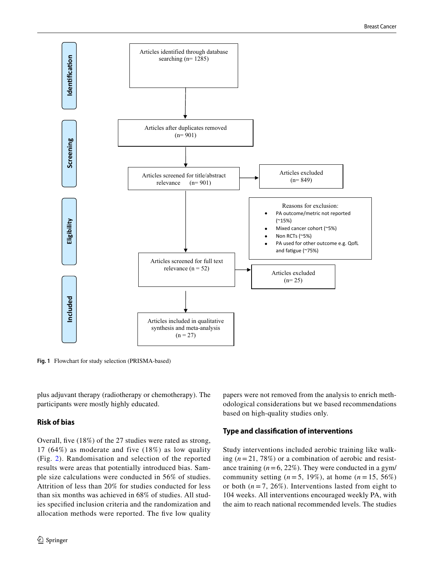

<span id="page-3-0"></span>**Fig. 1** Flowchart for study selection (PRISMA-based)

plus adjuvant therapy (radiotherapy or chemotherapy). The participants were mostly highly educated.

# **Risk of bias**

Overall, fve (18%) of the 27 studies were rated as strong, 17 (64%) as moderate and five (18%) as low quality (Fig. [2](#page-9-0)). Randomisation and selection of the reported results were areas that potentially introduced bias. Sample size calculations were conducted in 56% of studies. Attrition of less than 20% for studies conducted for less than six months was achieved in 68% of studies. All studies specifed inclusion criteria and the randomization and allocation methods were reported. The five low quality papers were not removed from the analysis to enrich methodological considerations but we based recommendations based on high-quality studies only.

# **Type and classifcation of interventions**

Study interventions included aerobic training like walking  $(n=21, 78\%)$  or a combination of aerobic and resistance training  $(n=6, 22\%)$ . They were conducted in a gym/ community setting ( $n = 5$ , 19%), at home ( $n = 15, 56\%$ ) or both  $(n=7, 26\%)$ . Interventions lasted from eight to 104 weeks. All interventions encouraged weekly PA, with the aim to reach national recommended levels. The studies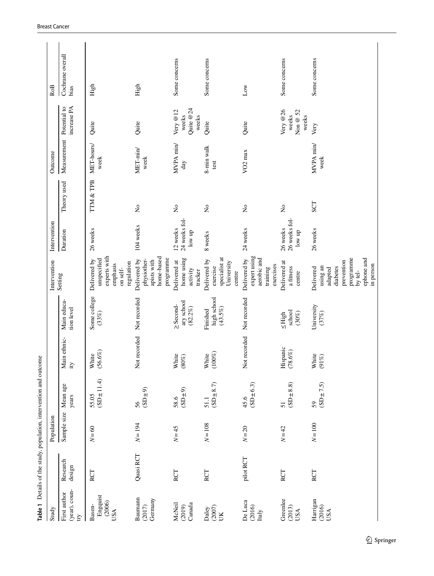<span id="page-4-0"></span>

|                                                 |                    |             | Table 1 Details of the study, population, intervention and outcome |                     |                                            |                                                                                                               |                                              |                           |                          |                                           |                          |
|-------------------------------------------------|--------------------|-------------|--------------------------------------------------------------------|---------------------|--------------------------------------------|---------------------------------------------------------------------------------------------------------------|----------------------------------------------|---------------------------|--------------------------|-------------------------------------------|--------------------------|
| Study                                           |                    | Population  |                                                                    |                     |                                            | Intervention                                                                                                  | Intervention                                 |                           | Outcome                  |                                           | Ro <sub>B</sub>          |
| (year), coun-<br>First author<br>$\overline{c}$ | Research<br>design | Sample size | Mean age<br>years                                                  | Main ethnic-<br>ity | Main educa-<br>tion level                  | Setting                                                                                                       | Duration                                     | Theory used               | Measurement Potential to | increase PA                               | Cochrane overall<br>bias |
| Engquist<br>(2006)<br>Basen-<br>USA             | RCT                | $N = 60$    | $(SD \pm 11.4)$<br>55.05                                           | $(56.6\%)$<br>White | Some college<br>(33%)                      | experts with<br>unspecified<br>Delivered by<br>regulation<br>emphasis<br>on self-                             | 26 weeks                                     | TTM & TPB                 | MET-hours/<br>week       | Quite                                     | High                     |
| Baumann<br>Germany<br>(2017)                    | Quasi RCT          | $N = 194$   | $(SL\pm9)$<br>56                                                   | Not recorded        | Not recorded                               | home-based<br>programme<br>Delivered by<br>physiother-<br>apists with                                         | 104 weeks                                    | $\mathring{\mathsf{z}}$   | MET-min/<br>week         | Quite                                     | High                     |
| McNeil<br>Canada<br>(2019)                      | RCT                | $N=45$      | (SD±9)<br>58.6                                                     | White<br>$(80\%)$   | ary school<br>$\geq$ Second-<br>$(82.2\%)$ | home using<br>Delivered at<br>activity<br>tracker                                                             | 24 weeks fol-<br>12 weeks<br>low up          | $\mathsf{\hat{z}}$        | MVPA min/<br>day         | Quite @24<br>Very $@12$<br>weeks<br>weeks | Some concerns            |
| $(2007)$<br>Daley<br>ŬK                         | RCT                | $N = 108$   | $(SD \pm 8.7)$<br>51.1                                             | $(100\%)$<br>White  | high school<br>(43.5%)<br>Finished         | specialist at<br>Delivered by<br>University<br>exercise<br>centre                                             | 8 weeks                                      | $\mathsf{S}^{\mathsf{o}}$ | 8-min walk<br>test       | Quite                                     | Some concerns            |
| De Luca<br>(2016)<br>Italy                      | pilot RCT          | $N = 20$    | $(SD \pm 6.3)$<br>45.6                                             | Not recorded        | Not recorded                               | expert using<br>Delivered by<br>aerobic and<br>exercises<br>training                                          | 24 weeks                                     | $\mathring{\mathsf{z}}$   | VO <sub>2</sub> max      | Quite                                     | Low                      |
| Greenlee<br>(2013)<br>USA                       | RCT                | $N=42$      | $(SD \pm 8.8)$<br>51                                               | Hispanic<br>(78.6%) | school<br>$(30\%)$<br>$\leq$ High          | Delivered at<br>a fitness<br>centre                                                                           | 26 weeks fol-<br>26 weeks<br>$\mbox{low up}$ | $\mathsf{S}^{\mathsf{o}}$ |                          | Very @26<br>Non $@$ 52<br>weeks<br>weeks  | Some concerns            |
| Harrigan<br>(2016)<br>USA                       | RCT                | $N = 100$   | $(SD \pm 7.5)$<br>59                                               | White<br>$(91\%)$   | University<br>(37%)                        | programme<br>ephone and<br>prevention<br>in person<br>diabetes<br>using an<br>Delivered<br>adapted<br>by tel- | 26 weeks                                     | <b>SCT</b>                | MVPA min/<br>week        | Very                                      | Some concerns            |
|                                                 |                    |             |                                                                    |                     |                                            |                                                                                                               |                                              |                           |                          |                                           |                          |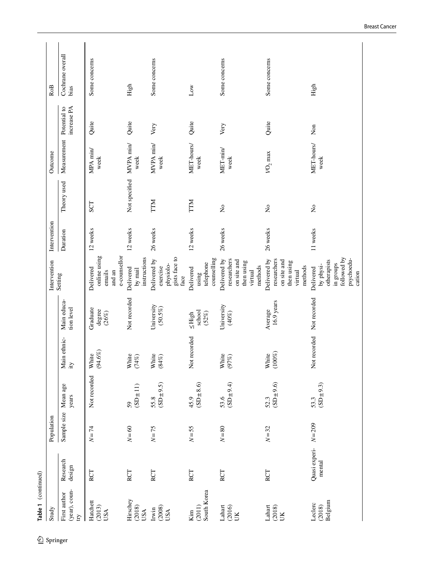| Table 1 (continued)     | Sample size<br>Population | Mean age                  | Main ethnic-        | Main educa-                    | Intervention<br>Setting                                                                   | Intervention<br>Duration | Theory used                         | Measurement Potential to<br>Outcome |             | Cochrane overall<br><b>RoB</b> |
|-------------------------|---------------------------|---------------------------|---------------------|--------------------------------|-------------------------------------------------------------------------------------------|--------------------------|-------------------------------------|-------------------------------------|-------------|--------------------------------|
| Research<br>design      |                           | years                     | ity                 | tion level                     |                                                                                           |                          |                                     |                                     | increase PA | bias                           |
| RCT                     | $N = 74$                  | Not recorded              | $(94.6\%)$<br>White | Graduate<br>degree<br>(26%)    | e-counsellor<br>online using<br>Delivered<br>emails<br>and an                             | 12 weeks                 | <b>SCT</b>                          | MPA min/<br>week                    | Quite       | Some concerns                  |
| $\mathbb{R}\mathrm{CT}$ | $N = 60$                  | (SD±11)<br>59             | White<br>(74%)      | Not recorded                   | instructions<br>Delivered<br>by mail                                                      | 12 weeks                 | Not specified                       | MVPA min/<br>week                   | Quite       | High                           |
| RCT                     | $N=75$                    | $55.8$<br>(SD $\pm 9.5$ ) | White<br>$(84\%)$   | University<br>$(50.5\%)$       | gists face to<br>Delivered by<br>physiolo-<br>exercise<br>face                            | 26 weeks                 | <b>NLL</b>                          | MVPA min/<br>week                   | Very        | Some concerns                  |
| RCT                     | $N = 55$                  | $(SD \pm 8.6)$<br>45.9    | Not recorded        | school<br>(52%)<br>$\leq$ High | counselling<br>telephone<br>Delivered<br>using                                            | 12 weeks                 | TTM                                 | MET-hours/<br>week                  | Quite       | Low                            |
| RCT                     | $N=80$                    | (4.94)<br>53.6            | White<br>$(97\%)$   | University<br>(40%)            | Delivered by<br>researchers<br>on site and<br>then using<br>methods<br>virtual            | 26 weeks                 | $\stackrel{\mathtt{o}}{\mathtt{x}}$ | MET-min/<br>week                    | Very        | Some concerns                  |
| RCT                     | $N = 32$                  | $(SD \pm 9.6)$<br>52.3    | $(100\%)$<br>White  | $16.9$ years<br>Average        | Delivered by<br>researchers<br>on site and<br>then using<br>methods<br>virtual            | 26 weeks                 | $\tilde{z}$                         | $\mathit{VO}_2$ max                 | Quite       | Some concerns                  |
| Quasi experi-<br>mental | $N = 209$                 | $(SD \pm 9.3)$<br>53.3    | Not recorded        | Not recorded                   | followed by<br>psychoedu-<br>otherapists<br>in groups<br>by physi-<br>Delivered<br>cation | 11 weeks                 | $\tilde{z}$                         | MET-hours/<br>week                  | Non         | High                           |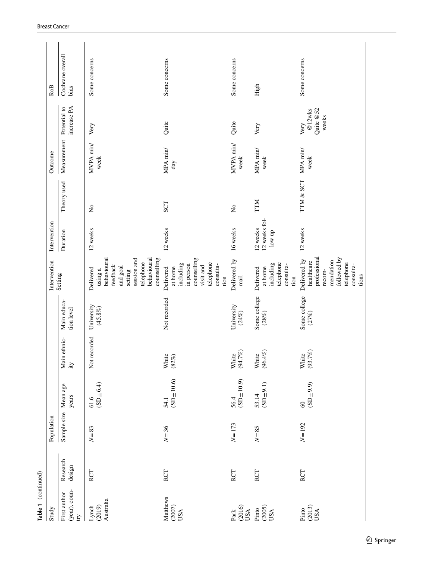| Table 1 (continued)                                    |                    |             |                             |                     |                           |                                                                                                                                  |                                     |             |                          |                                      |                          |
|--------------------------------------------------------|--------------------|-------------|-----------------------------|---------------------|---------------------------|----------------------------------------------------------------------------------------------------------------------------------|-------------------------------------|-------------|--------------------------|--------------------------------------|--------------------------|
| Study                                                  |                    | Population  |                             |                     |                           | Intervention                                                                                                                     | Intervention                        |             | Outcome                  |                                      | <b>RoB</b>               |
| (year), coun-<br>First author<br>$\boldsymbol{\Sigma}$ | Research<br>design | Sample size | Mean age<br>years           | Main ethnic-<br>ity | Main educa-<br>tion level | Setting                                                                                                                          | Duration                            | Theory used | Measurement Potential to | increase PA                          | Cochrane overall<br>bias |
| Australia<br>(2019)<br>Lynch                           | RCT                | $N=83$      | $(SD \pm 6.4)$<br>61.6      | Not recorded        | University<br>$(45.8\%)$  | session and<br>behavioural<br>behavioural<br>counselling<br>telephone<br>feedback<br>and goal<br>Delivered<br>using a<br>setting | 12 weeks                            | $\tilde{z}$ | MVPA min/<br>week        | Very                                 | Some concerns            |
| Matthews<br>(2007)<br>USA                              | <b>RCT</b>         | $N=36$      | $(SD \pm 10.6)$<br>54.1     | White<br>(82%)      | Not recorded              | counselling<br>telephone<br>including<br>in person<br>consulta-<br>visit and<br>at home<br>Delivered<br>tion                     | 12 weeks                            | <b>SCT</b>  | MPA min/<br>day          | Quite                                | Some concerns            |
| (2016)<br>USA<br>$\operatorname{Park}$                 | RCT                | $N = 173$   | $(SD \pm 10.9)$<br>56.4     | $(94.7\%)$<br>White | University<br>(24%)       | Delivered by<br>$_{\rm mail}$                                                                                                    | 16 weeks                            | $\tilde{z}$ | MVPA min/<br>week        | Quite                                | Some concerns            |
| $(2005)$ USA<br>Pinto                                  | RCT                | $N=85$      | $(SD \pm 9.1)$<br>53.14     | $(96.4\%)$<br>White | Some college<br>$(28\%)$  | telephone<br>including<br>consulta-<br>at home<br>Delivered<br>tion                                                              | 12 weeks fol-<br>12 weeks<br>low up | <b>NLL</b>  | MPA min/<br>week         | Very                                 | High                     |
| $\frac{\text{(2013)}}{\text{USA}}$<br>Pinto            | RCT                | $N = 192$   | $(SD \pm 9.9)$<br>$\degree$ | $(93.7\%)$<br>White | Some college<br>(27%)     | professional<br>followed by<br>Delivered by<br>mendation<br>healthcare<br>telephone<br>consulta-<br>recom-<br>tions              | 12 weeks                            | TTM & SCT   | MPA min/<br>week         | @12wks<br>Quite @52<br>weeks<br>Very | Some concerns            |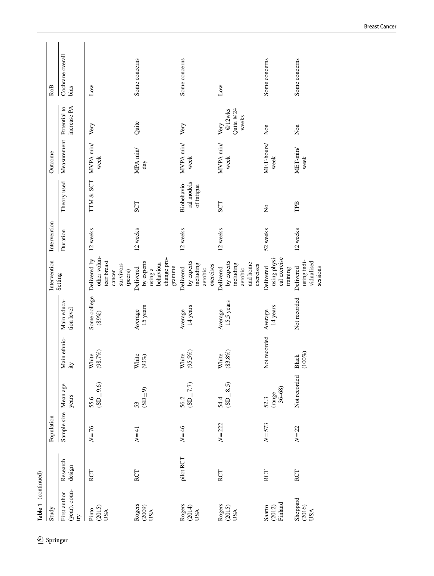|                     | RoB          | Cochrane overall<br>bias                  | $_{\text{Low}}$                                                               | Some concerns                                                            | Some concerns                                                | Low                                                                      | Some concerns                                         | Some concerns                                      |
|---------------------|--------------|-------------------------------------------|-------------------------------------------------------------------------------|--------------------------------------------------------------------------|--------------------------------------------------------------|--------------------------------------------------------------------------|-------------------------------------------------------|----------------------------------------------------|
|                     |              | increase PA                               | Very                                                                          | Quite                                                                    | Very                                                         | Quite $@24$<br>@12wks<br>weeks<br>Very                                   | Non                                                   | Non                                                |
|                     | Outcome      | Measurement Potential to                  | MVPA min/<br>week                                                             | MPA min/<br>day                                                          | MVPA min/<br>week                                            | MVPA min/<br>week                                                        | MET-hours/<br>week                                    | MET-min/<br>week                                   |
|                     |              | Theory used                               | TTM & SCT                                                                     | <b>SCT</b>                                                               | ral models<br>Biobehavio-<br>of fatigue                      | SCT                                                                      | $\tilde{z}$                                           | TPB                                                |
|                     | Intervention | Duration                                  | 12 weeks                                                                      | 12 weeks                                                                 | 12 weeks                                                     | 12 weeks                                                                 | 52 weeks                                              | 12 weeks                                           |
|                     | Intervention | Setting                                   | other volun-<br>Delivered by<br>teer breast<br>survivors<br>cancer<br>(peers) | change pro-<br>by experts<br>behaviour<br>gramme<br>Delivered<br>using a | by experts<br>including<br>exercises<br>Delivered<br>aerobic | by experts<br>and home<br>including<br>exercises<br>Delivered<br>aerobic | using physi-<br>cal exercise<br>Delivered<br>training | using indi-<br>vidualised<br>sessions<br>Delivered |
|                     |              | Main educa-<br>tion level                 | Some college<br>(89%)                                                         | 15 years<br>Average                                                      | 14 years<br>Average                                          | 15.5 years<br>Average                                                    | 14 years<br>Average                                   | Not recorded                                       |
|                     |              | Main ethnic-<br>ity                       | (98.7%)<br>White                                                              | White<br>(93%)                                                           | (95.5%)<br>White                                             | $(83.8\%)$<br>White                                                      | Not recorded                                          | $(100\%)$<br>Black                                 |
|                     |              | Mean age<br>years                         | $(SD \pm 9.6)$<br>55.6                                                        | $(SD \pm 9)$<br>53                                                       | $56.2$<br>(SD $\pm$ 7.7)                                     | $(SD \pm 8.5)$<br>54.4                                                   | $\frac{\text{(range}}{36-68)}$<br>52.3                | Not recorded                                       |
|                     | Population   | Sample size                               | $N = 76$                                                                      | $N = 41$                                                                 | $N = 46$                                                     | $N = 222$                                                                | $N = 573$                                             | $N = 22$                                           |
|                     |              | Research<br>design                        | RCT                                                                           | RCT                                                                      | pilot RCT                                                    | RCT                                                                      | RCT                                                   | RCT                                                |
| Table 1 (continued) | Study        | (year), coun-<br>First author<br><b>E</b> | (2015)<br>Pinto<br>USA                                                        | Rogers<br>(2009)<br>USA                                                  | Rogers<br>(2014)<br>USA                                      | Rogers<br>(2015)<br>USA                                                  | Finland<br>Saarto<br>(2012)                           | Sheppard<br>(2016)<br>USA                          |
| �                   | Springer     |                                           |                                                                               |                                                                          |                                                              |                                                                          |                                                       |                                                    |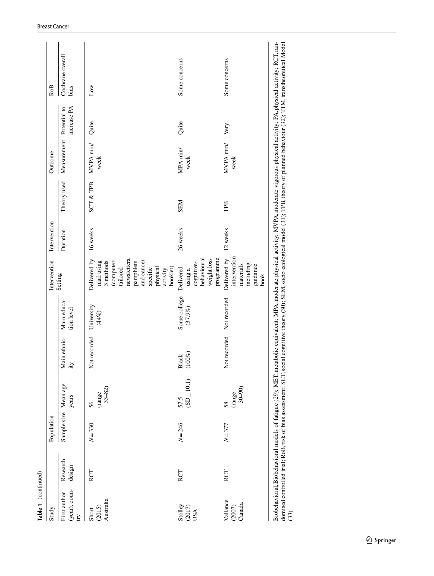| Table 1 (continued)                                                   |                    |                      |                                                             |                           |                           |                                                                                                                                                              |              |                      |                          |             |                          |
|-----------------------------------------------------------------------|--------------------|----------------------|-------------------------------------------------------------|---------------------------|---------------------------|--------------------------------------------------------------------------------------------------------------------------------------------------------------|--------------|----------------------|--------------------------|-------------|--------------------------|
| Study                                                                 |                    | Population           |                                                             |                           |                           | Intervention                                                                                                                                                 | Intervention |                      | Outcome                  |             | Ro <sub>B</sub>          |
| (year), coun-<br>First author<br>$\overline{C}$                       | Research<br>design | Sample size Mean age | years                                                       | Main ethnic-<br>ity       | Main educa-<br>tion level | Setting                                                                                                                                                      | Duration     | Theory used          | Measurement Potential to | increase PA | Cochrane overall<br>bias |
| Australia<br>Short<br>(2015)                                          | RCT                | $N = 330$            | $\frac{\text{range}}{33-82}$<br>56                          | Not recorded              | University<br>(44%)       | newsletters,<br>Delivered by<br>(computer-<br>and cancer<br>mail using<br>3 methods<br>pamphlets<br>tailored<br>physical<br>booklet)<br>specific<br>activity | 16 weeks     | <b>SCT &amp; TPB</b> | MVPA min/<br>week        | Quite       | Low                      |
| $\begin{array}{c} \text{Stolley} \\ (2017) \\ \text{USA} \end{array}$ | RCT                | $N = 246$            | $\begin{array}{c} 57.5 \\ (\text{SD} \pm 10.1) \end{array}$ | Black (100%)              | Some college<br>(37.9%    | programme<br>weight loss<br>behavioural<br>cognitive-<br>Delivered<br>using a                                                                                | 26 weeks     | <b>NES</b>           | MPA min/<br>week         | Quite       | Some concerns            |
| Vallance<br>(2007)<br>Canada                                          | <b>RCT</b>         | $N = 377$            | 58<br>(range<br>30–90)                                      | Not recorded Not recorded |                           | intervention<br>Delivered by<br>including<br>materials<br>guidance<br>book                                                                                   | 12 weeks     | TPB                  | MVPA min/<br>week        | Very        | Some concerns            |
|                                                                       |                    | .<br>با              | ļ<br>$\sim$                                                 |                           |                           |                                                                                                                                                              |              |                      |                          |             | ا<br>ر                   |

| hysical activity; PA, physical activity; RCT, ran-<br>Teachers of<br>$\sim$ Then $\sim$<br>$\frac{1}{2}$<br>Antista Line of planned behaviour (Antisonal Antisys)<br>TOTOUS PL<br>.A. moderate physical activity; MVPA, moderate vigor<br>theory (30); SEM, socio ecological model (31)<br><b>DEDITY</b><br>etabolic equivalent: M<br>ocial cogn<br>Î<br>l<br>:<br>$\sim$ of tatimum (7)<br>j<br>ہے<br>ک<br>inhaharinen moda<br>l |                              |
|-----------------------------------------------------------------------------------------------------------------------------------------------------------------------------------------------------------------------------------------------------------------------------------------------------------------------------------------------------------------------------------------------------------------------------------|------------------------------|
|                                                                                                                                                                                                                                                                                                                                                                                                                                   |                              |
|                                                                                                                                                                                                                                                                                                                                                                                                                                   | demonstrated trial. RoB rich |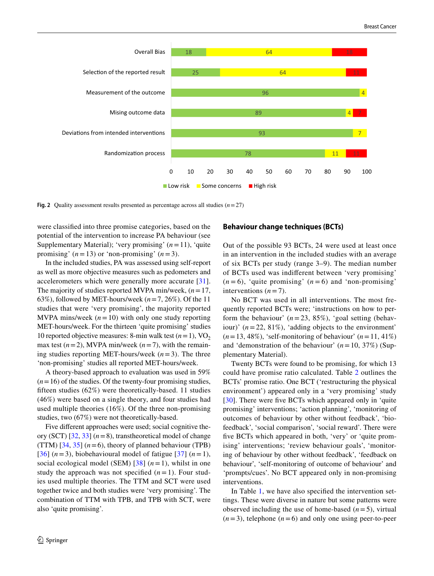

<span id="page-9-0"></span>**Fig. 2** Quality assessment results presented as percentage across all studies  $(n=27)$ 

were classifed into three promise categories, based on the potential of the intervention to increase PA behaviour (see Supplementary Material); 'very promising' (*n*=11), 'quite promising'  $(n=13)$  or 'non-promising'  $(n=3)$ .

In the included studies, PA was assessed using self-report as well as more objective measures such as pedometers and accelerometers which were generally more accurate [[31](#page-14-19)]. The majority of studies reported MVPA min/week, (*n*=17, 63%), followed by MET-hours/week  $(n=7, 26\%)$ . Of the 11 studies that were 'very promising', the majority reported MVPA mins/week  $(n=10)$  with only one study reporting MET-hours/week. For the thirteen 'quite promising' studies 10 reported objective measures: 8-min walk test  $(n=1)$ , VO<sub>2</sub> max test  $(n=2)$ , MVPA min/week  $(n=7)$ , with the remaining studies reporting MET-hours/week  $(n=3)$ . The three 'non-promising' studies all reported MET-hours/week.

A theory-based approach to evaluation was used in 59%  $(n=16)$  of the studies. Of the twenty-four promising studies, ffteen studies (62%) were theoretically-based. 11 studies (46%) were based on a single theory, and four studies had used multiple theories (16%). Of the three non-promising studies, two (67%) were not theoretically-based.

Five diferent approaches were used; social cognitive theory (SCT) [[32,](#page-14-20) [33](#page-14-21)] (*n*=8), transtheoretical model of change (TTM) [[34](#page-14-22), [35](#page-14-23)] (*n*=6), theory of planned behaviour (TPB) [\[36\]](#page-14-24)  $(n=3)$ , biobehavioural model of fatigue [[37](#page-14-25)]  $(n=1)$ , social ecological model (SEM) [\[38\]](#page-14-26) (*n*=1), whilst in one study the approach was not specified  $(n=1)$ . Four studies used multiple theories. The TTM and SCT were used together twice and both studies were 'very promising'. The combination of TTM with TPB, and TPB with SCT, were also 'quite promising'.

#### **Behaviour change techniques (BCTs)**

Out of the possible 93 BCTs, 24 were used at least once in an intervention in the included studies with an average of six BCTs per study (range 3–9). The median number of BCTs used was indiferent between 'very promising'  $(n=6)$ , 'quite promising'  $(n=6)$  and 'non-promising' interventions  $(n=7)$ .

No BCT was used in all interventions. The most frequently reported BCTs were; 'instructions on how to perform the behaviour'  $(n=23, 85\%)$ , 'goal setting (behaviour)' (*n*=22, 81%), 'adding objects to the environment'  $(n=13, 48\%)$ , 'self-monitoring of behaviour'  $(n=11, 41\%)$ and 'demonstration of the behaviour'  $(n=10, 37\%)$  (Supplementary Material).

Twenty BCTs were found to be promising, for which 13 could have promise ratio calculated. Table [2](#page-10-0) outlines the BCTs' promise ratio. One BCT ('restructuring the physical environment') appeared only in a 'very promising' study [[30\]](#page-14-18). There were five BCTs which appeared only in 'quite promising' interventions; 'action planning', 'monitoring of outcomes of behaviour by other without feedback', 'biofeedback', 'social comparison', 'social reward'. There were five BCTs which appeared in both, 'very' or 'quite promising' interventions; 'review behaviour goals', 'monitoring of behaviour by other without feedback', 'feedback on behaviour', 'self-monitoring of outcome of behaviour' and 'prompts/cues'. No BCT appeared only in non-promising interventions.

In Table [1](#page-4-0), we have also specifed the intervention settings. These were diverse in nature but some patterns were observed including the use of home-based  $(n=5)$ , virtual  $(n=3)$ , telephone  $(n=6)$  and only one using peer-to-peer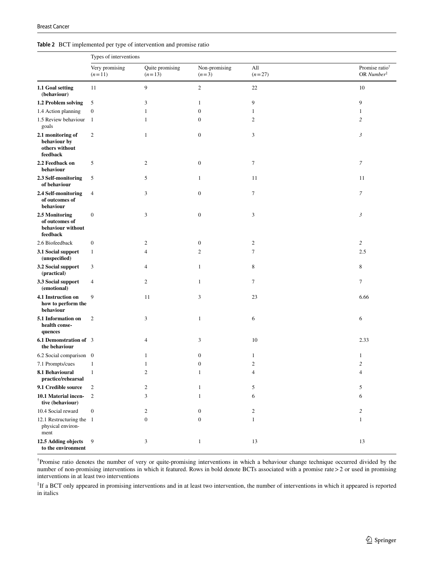#### <span id="page-10-0"></span>**Table 2** BCT implemented per type of intervention and promise ratio

|                                                                   | Types of interventions     |                             |                          |                  |                                                       |
|-------------------------------------------------------------------|----------------------------|-----------------------------|--------------------------|------------------|-------------------------------------------------------|
|                                                                   | Very promising<br>$(n=11)$ | Quite promising<br>$(n=13)$ | Non-promising<br>$(n=3)$ | All<br>$(n=27)$  | Promise ratio <sup>†</sup><br>OR Number $\ddot{\tau}$ |
| 1.1 Goal setting<br>(behaviour)                                   | 11                         | 9                           | $\mathbf{2}$             | 22               | 10                                                    |
| 1.2 Problem solving                                               | 5                          | 3                           | 1                        | 9                | 9                                                     |
| 1.4 Action planning                                               | $\boldsymbol{0}$           | 1                           | $\boldsymbol{0}$         | 1                | $\mathbf{1}$                                          |
| 1.5 Review behaviour<br>goals                                     | -1                         | $\mathbf{1}$                | $\mathbf{0}$             | $\mathbf{2}$     | $\overline{c}$                                        |
| 2.1 monitoring of<br>behaviour by<br>others without<br>feedback   | $\mathbf{2}$               | $\mathbf{1}$                | $\boldsymbol{0}$         | $\mathfrak{Z}$   | 3                                                     |
| 2.2 Feedback on<br>behaviour                                      | 5                          | $\boldsymbol{2}$            | $\boldsymbol{0}$         | $\boldsymbol{7}$ | 7                                                     |
| 2.3 Self-monitoring<br>of behaviour                               | 5                          | 5                           | $\mathbf{1}$             | 11               | 11                                                    |
| 2.4 Self-monitoring<br>of outcomes of<br>behaviour                | $\overline{4}$             | 3                           | $\boldsymbol{0}$         | $\tau$           | $\boldsymbol{7}$                                      |
| 2.5 Monitoring<br>of outcomes of<br>behaviour without<br>feedback | $\boldsymbol{0}$           | 3                           | $\boldsymbol{0}$         | 3                | $\mathfrak{Z}$                                        |
| 2.6 Biofeedback                                                   | $\boldsymbol{0}$           | 2                           | $\boldsymbol{0}$         | $\boldsymbol{2}$ | $\overline{c}$                                        |
| 3.1 Social support<br>(unspecified)                               | $\mathbf{1}$               | $\overline{4}$              | $\mathfrak{2}$           | $\tau$           | 2.5                                                   |
| 3.2 Social support<br>(practical)                                 | 3                          | $\overline{4}$              | $\mathbf{1}$             | 8                | 8                                                     |
| 3.3 Social support<br>(emotional)                                 | $\overline{4}$             | $\boldsymbol{2}$            | 1                        | $\tau$           | $\boldsymbol{7}$                                      |
| 4.1 Instruction on<br>how to perform the<br>behaviour             | 9                          | 11                          | 3                        | 23               | 6.66                                                  |
| 5.1 Information on<br>health conse-<br>quences                    | $\overline{2}$             | 3                           | 1                        | 6                | 6                                                     |
| 6.1 Demonstration of 3<br>the behaviour                           |                            | 4                           | 3                        | 10               | 2.33                                                  |
| 6.2 Social comparison 0                                           |                            | 1                           | $\boldsymbol{0}$         | $\mathbf{1}$     | $\mathbf{1}$                                          |
| 7.1 Prompts/cues                                                  | $\mathbf{1}$               | 1                           | $\boldsymbol{0}$         | $\boldsymbol{2}$ | $\overline{c}$                                        |
| 8.1 Behavioural<br>practice/rehearsal                             | $\mathbf{1}$               | 2                           | 1                        | 4                | $\overline{4}$                                        |
| 9.1 Credible source                                               | $\boldsymbol{2}$           | $\boldsymbol{2}$            | $\mathbf{1}$             | 5                | 5                                                     |
| 10.1 Material incen-<br>tive (behaviour)                          | $\overline{c}$             | $\mathfrak{Z}$              | 1                        | 6                | 6                                                     |
| 10.4 Social reward                                                | $\boldsymbol{0}$           | $\boldsymbol{2}$            | $\boldsymbol{0}$         | $\overline{c}$   | $\overline{c}$                                        |
| 12.1 Restructuring the 1<br>physical environ-<br>ment             |                            | $\boldsymbol{0}$            | $\boldsymbol{0}$         | $\mathbf{1}$     | $\mathbf{1}$                                          |
| 12.5 Adding objects<br>to the environment                         | 9                          | 3                           | $\mathbf{1}$             | 13               | 13                                                    |

† Promise ratio denotes the number of very or quite-promising interventions in which a behaviour change technique occurred divided by the number of non-promising interventions in which it featured. Rows in bold denote BCTs associated with a promise rate > 2 or used in promising interventions in at least two interventions

‡ If a BCT only appeared in promising interventions and in at least two intervention, the number of interventions in which it appeared is reported in italics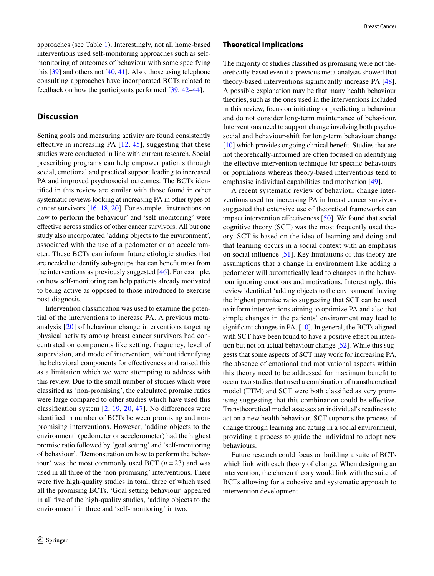approaches (see Table [1](#page-4-0)). Interestingly, not all home-based interventions used self-monitoring approaches such as selfmonitoring of outcomes of behaviour with some specifying this [[39\]](#page-14-27) and others not [[40](#page-14-28), [41](#page-14-29)]. Also, those using telephone consulting approaches have incorporated BCTs related to feedback on how the participants performed [\[39](#page-14-27), [42](#page-14-30)[–44\]](#page-14-31).

# **Discussion**

Setting goals and measuring activity are found consistently effective in increasing PA  $[12, 45]$  $[12, 45]$  $[12, 45]$  $[12, 45]$  $[12, 45]$ , suggesting that these studies were conducted in line with current research. Social prescribing programs can help empower patients through social, emotional and practical support leading to increased PA and improved psychosocial outcomes. The BCTs identifed in this review are similar with those found in other systematic reviews looking at increasing PA in other types of cancer survivors [[16–](#page-14-5)[18](#page-14-6), [20\]](#page-14-8). For example, 'instructions on how to perform the behaviour' and 'self-monitoring' were efective across studies of other cancer survivors. All but one study also incorporated 'adding objects to the environment', associated with the use of a pedometer or an accelerometer. These BCTs can inform future etiologic studies that are needed to identify sub-groups that can beneft most from the interventions as previously suggested [\[46\]](#page-14-33). For example, on how self-monitoring can help patients already motivated to being active as opposed to those introduced to exercise post-diagnosis.

Intervention classifcation was used to examine the potential of the interventions to increase PA. A previous metaanalysis [[20](#page-14-8)] of behaviour change interventions targeting physical activity among breast cancer survivors had concentrated on components like setting, frequency, level of supervision, and mode of intervention, without identifying the behavioral components for efectiveness and raised this as a limitation which we were attempting to address with this review. Due to the small number of studies which were classifed as 'non-promising', the calculated promise ratios were large compared to other studies which have used this classifcation system [\[2](#page-13-1), [19](#page-14-7), [20](#page-14-8), [47](#page-15-0)]. No diferences were identifed in number of BCTs between promising and nonpromising interventions. However, 'adding objects to the environment' (pedometer or accelerometer) had the highest promise ratio followed by 'goal setting' and 'self-monitoring of behaviour'. 'Demonstration on how to perform the behaviour' was the most commonly used BCT (*n*=23) and was used in all three of the 'non-promising' interventions. There were five high-quality studies in total, three of which used all the promising BCTs. 'Goal setting behaviour' appeared in all fve of the high-quality studies, 'adding objects to the environment' in three and 'self-monitoring' in two.

#### **Theoretical Implications**

The majority of studies classifed as promising were not theoretically-based even if a previous meta-analysis showed that theory-based interventions signifcantly increase PA [\[48](#page-15-1)]. A possible explanation may be that many health behaviour theories, such as the ones used in the interventions included in this review, focus on initiating or predicting a behaviour and do not consider long-term maintenance of behaviour. Interventions need to support change involving both psychosocial and behaviour-shift for long-term behaviour change [\[10](#page-13-9)] which provides ongoing clinical benefit. Studies that are not theoretically-informed are often focused on identifying the efective intervention technique for specifc behaviours or populations whereas theory-based interventions tend to emphasise individual capabilities and motivation [\[49](#page-15-2)].

A recent systematic review of behaviour change interventions used for increasing PA in breast cancer survivors suggested that extensive use of theoretical frameworks can impact intervention efectiveness [\[50](#page-15-3)]. We found that social cognitive theory (SCT) was the most frequently used theory. SCT is based on the idea of learning and doing and that learning occurs in a social context with an emphasis on social infuence [\[51](#page-15-4)]. Key limitations of this theory are assumptions that a change in environment like adding a pedometer will automatically lead to changes in the behaviour ignoring emotions and motivations. Interestingly, this review identifed 'adding objects to the environment' having the highest promise ratio suggesting that SCT can be used to inform interventions aiming to optimize PA and also that simple changes in the patients' environment may lead to significant changes in PA. [[10](#page-13-9)]. In general, the BCTs aligned with SCT have been found to have a positive effect on intention but not on actual behaviour change [\[52](#page-15-5)]. While this suggests that some aspects of SCT may work for increasing PA, the absence of emotional and motivational aspects within this theory need to be addressed for maximum beneft to occur two studies that used a combination of transtheoretical model (TTM) and SCT were both classifed as very promising suggesting that this combination could be efective. Transtheoretical model assesses an individual's readiness to act on a new health behaviour, SCT supports the process of change through learning and acting in a social environment, providing a process to guide the individual to adopt new behaviours.

Future research could focus on building a suite of BCTs which link with each theory of change. When designing an intervention, the chosen theory would link with the suite of BCTs allowing for a cohesive and systematic approach to intervention development.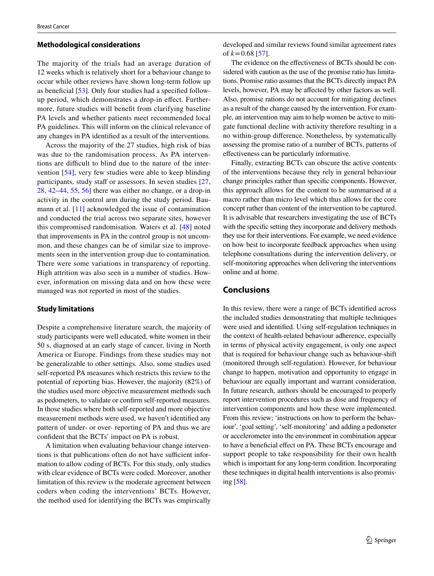#### **Methodological considerations**

The majority of the trials had an average duration of 12 weeks which is relatively short for a behaviour change to occur while other reviews have shown long-term follow up as benefcial [\[53](#page-15-6)]. Only four studies had a specifed followup period, which demonstrates a drop-in efect. Furthermore, future studies will beneft from clarifying baseline PA levels and whether patients meet recommended local PA guidelines. This will inform on the clinical relevance of any changes in PA identifed as a result of the interventions.

Across the majority of the 27 studies, high risk of bias was due to the randomisation process. As PA interventions are difficult to blind due to the nature of the intervention [\[54\]](#page-15-7), very few studies were able to keep blinding participants, study staff or assessors. In seven studies  $[27,$ [28](#page-14-16), [42](#page-14-30)[–44,](#page-14-31) [55,](#page-15-8) [56](#page-15-9)] there was either no change, or a drop-in activity in the control arm during the study period. Bau-mann et al. [[11](#page-14-0)] acknowledged the issue of contamination and conducted the trial across two separate sites, however this compromised randomisation. Waters et al. [[48](#page-15-1)] noted that improvements in PA in the control group is not uncommon, and these changes can be of similar size to improvements seen in the intervention group due to contamination. There were some variations in transparency of reporting. High attrition was also seen in a number of studies. However, information on missing data and on how these were managed was not reported in most of the studies.

# **Study limitations**

Despite a comprehensive literature search, the majority of study participants were well educated, white women in their 50 s, diagnosed at an early stage of cancer, living in North America or Europe. Findings from these studies may not be generalizable to other settings. Also, some studies used self-reported PA measures which restricts this review to the potential of reporting bias. However, the majority (82%) of the studies used more objective measurement methods such as pedometers, to validate or confrm self-reported measures. In those studies where both self-reported and more objective measurement methods were used, we haven't identifed any pattern of under- or over- reporting of PA and thus we are confdent that the BCTs' impact on PA is robust.

A limitation when evaluating behaviour change interventions is that publications often do not have sufficient information to allow coding of BCTs. For this study, only studies with clear evidence of BCTs were coded. Moreover, another limitation of this review is the moderate agreement between coders when coding the interventions' BCTs. However, the method used for identifying the BCTs was empirically developed and similar reviews found similar agreement rates of  $k = 0.68$  [\[57\]](#page-15-10).

The evidence on the efectiveness of BCTs should be considered with caution as the use of the promise ratio has limitations. Promise ratio assumes that the BCTs directly impact PA levels, however, PA may be afected by other factors as well. Also, promise rations do not account for mitigating declines as a result of the change caused by the intervention. For example, an intervention may aim to help women be active to mitigate functional decline with activity therefore resulting in a no within-group diference. Nonetheless, by systematically assessing the promise ratio of a number of BCTs, patterns of efectiveness can be particularly informative.

Finally, extracting BCTs can obscure the active contents of the interventions because they rely in general behaviour change principles rather than specifc components. However, this approach allows for the content to be summarised at a macro rather than micro level which thus allows for the core concept rather than content of the intervention to be captured. It is advisable that researchers investigating the use of BCTs with the specifc setting they incorporate and delivery methods they use for their interventions. For example, we need evidence on how best to incorporate feedback approaches when using telephone consultations during the intervention delivery, or self-monitoring approaches when delivering the interventions online and at home.

# **Conclusions**

In this review, there were a range of BCTs identifed across the included studies demonstrating that multiple techniques were used and identifed. Using self-regulation techniques in the context of health-related behaviour adherence, especially in terms of physical activity engagement, is only one aspect that is required for behaviour change such as behaviour-shift (monitored through self-regulation). However, for behaviour change to happen, motivation and opportunity to engage in behaviour are equally important and warrant consideration. In future research, authors should be encouraged to properly report intervention procedures such as dose and frequency of intervention components and how these were implemented. From this review; 'instructions on how to perform the behaviour', 'goal setting', 'self-monitoring' and adding a pedometer or accelerometer into the environment in combination appear to have a benefcial efect on PA. These BCTs encourage and support people to take responsibility for their own health which is important for any long-term condition. Incorporating these techniques in digital health interventions is also promising [\[58\]](#page-15-11).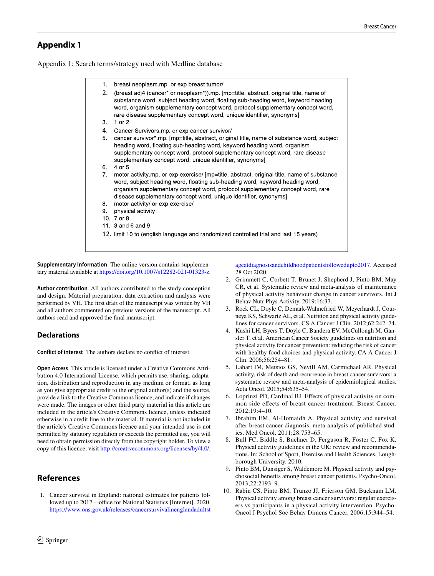# **Appendix 1**

Appendix 1: Search terms/strategy used with Medline database

| 1.             | breast neoplasm.mp. or exp breast tumor/                                                                                                                                                                                                                                                                                              |
|----------------|---------------------------------------------------------------------------------------------------------------------------------------------------------------------------------------------------------------------------------------------------------------------------------------------------------------------------------------|
| 2.             | (breast adj4 (cancer* or neoplasm*)).mp. [mp=title, abstract, original title, name of<br>substance word, subject heading word, floating sub-heading word, keyword heading<br>word, organism supplementary concept word, protocol supplementary concept word,<br>rare disease supplementary concept word, unique identifier, synonyms] |
| 3.             | 1 or $2$                                                                                                                                                                                                                                                                                                                              |
| 4.             | Cancer Survivors.mp. or exp cancer survivor/                                                                                                                                                                                                                                                                                          |
| 5.             | cancer survivor*.mp. [mp=title, abstract, original title, name of substance word, subject<br>heading word, floating sub-heading word, keyword heading word, organism<br>supplementary concept word, protocol supplementary concept word, rare disease<br>supplementary concept word, unique identifier, synonyms]                     |
| 6.             | 4 or 5                                                                                                                                                                                                                                                                                                                                |
| 7 <sub>1</sub> | motor activity.mp. or exp exercise/ [mp=title, abstract, original title, name of substance<br>word, subject heading word, floating sub-heading word, keyword heading word,<br>organism supplementary concept word, protocol supplementary concept word, rare<br>disease supplementary concept word, unique identifier, synonyms       |
| 8.             | motor activity/ or exp exercise/                                                                                                                                                                                                                                                                                                      |
| 9.             | physical activity                                                                                                                                                                                                                                                                                                                     |
|                | 10. 7 or 8                                                                                                                                                                                                                                                                                                                            |
|                | 11. 3 and 6 and 9                                                                                                                                                                                                                                                                                                                     |
|                | 12. limit 10 to (english language and randomized controlled trial and last 15 years)                                                                                                                                                                                                                                                  |

**Supplementary Information** The online version contains supplementary material available at<https://doi.org/10.1007/s12282-021-01323-z>.

**Author contribution** All authors contributed to the study conception and design. Material preparation, data extraction and analysis were performed by VH. The frst draft of the manuscript was written by VH and all authors commented on previous versions of the manuscript. All authors read and approved the fnal manuscript.

# **Declarations**

**Conflict of interest** The authors declare no confict of interest.

**Open Access** This article is licensed under a Creative Commons Attribution 4.0 International License, which permits use, sharing, adaptation, distribution and reproduction in any medium or format, as long as you give appropriate credit to the original author(s) and the source, provide a link to the Creative Commons licence, and indicate if changes were made. The images or other third party material in this article are included in the article's Creative Commons licence, unless indicated otherwise in a credit line to the material. If material is not included in the article's Creative Commons licence and your intended use is not permitted by statutory regulation or exceeds the permitted use, you will need to obtain permission directly from the copyright holder. To view a copy of this licence, visit <http://creativecommons.org/licenses/by/4.0/>.

# **References**

<span id="page-13-0"></span>1. Cancer survival in England: national estimates for patients followed up to 2017—office for National Statistics [Internet]. 2020. [https://www.ons.gov.uk/releases/cancersurvivalinenglandadultst](https://www.ons.gov.uk/releases/cancersurvivalinenglandadultstageatdiagnosisandchildhoodpatientsfollowedupto2017) [ageatdiagnosisandchildhoodpatientsfollowedupto2017](https://www.ons.gov.uk/releases/cancersurvivalinenglandadultstageatdiagnosisandchildhoodpatientsfollowedupto2017). Accessed 28 Oct 2020.

- <span id="page-13-1"></span>2. Grimmett C, Corbett T, Brunet J, Shepherd J, Pinto BM, May CR, et al. Systematic review and meta-analysis of maintenance of physical activity behaviour change in cancer survivors. Int J Behav Nutr Phys Activity. 2019;16:37.
- <span id="page-13-2"></span>3. Rock CL, Doyle C, Demark-Wahnefried W, Meyerhardt J, Courneya KS, Schwartz AL, et al. Nutrition and physical activity guidelines for cancer survivors. CS A Cancer J Clin. 2012;62:242–74.
- <span id="page-13-3"></span>4. Kushi LH, Byers T, Doyle C, Bandera EV, McCullough M, Gansler T, et al. American Cancer Society guidelines on nutrition and physical activity for cancer prevention: reducing the risk of cancer with healthy food choices and physical activity. CA A Cancer J Clin. 2006;56:254–81.
- <span id="page-13-4"></span>5. Lahart IM, Metsios GS, Nevill AM, Carmichael AR. Physical activity, risk of death and recurrence in breast cancer survivors: a systematic review and meta-analysis of epidemiological studies. Acta Oncol. 2015;54:635–54.
- <span id="page-13-5"></span>6. Loprinzi PD, Cardinal BJ. Efects of physical activity on common side efects of breast cancer treatment. Breast Cancer. 2012;19:4–10.
- <span id="page-13-6"></span>7. Ibrahim EM, Al-Homaidh A. Physical activity and survival after breast cancer diagnosis: meta-analysis of published studies. Med Oncol. 2011;28:753–65.
- <span id="page-13-7"></span>8. Bull FC, Biddle S, Buchner D, Ferguson R, Foster C, Fox K. Physical activity guidelines in the UK: review and recommendations. In: School of Sport, Exercise and Health Sciences, Loughborough University. 2010.
- <span id="page-13-8"></span>9. Pinto BM, Dunsiger S, Waldemore M. Physical activity and psychosocial benefts among breast cancer patients. Psycho-Oncol. 2013;22:2193–9.
- <span id="page-13-9"></span>10. Rabin CS, Pinto BM, Trunzo JJ, Frierson GM, Bucknam LM. Physical activity among breast cancer survivors: regular exercisers vs participants in a physical activity intervention. Psycho-Oncol J Psychol Soc Behav Dimens Cancer. 2006;15:344–54.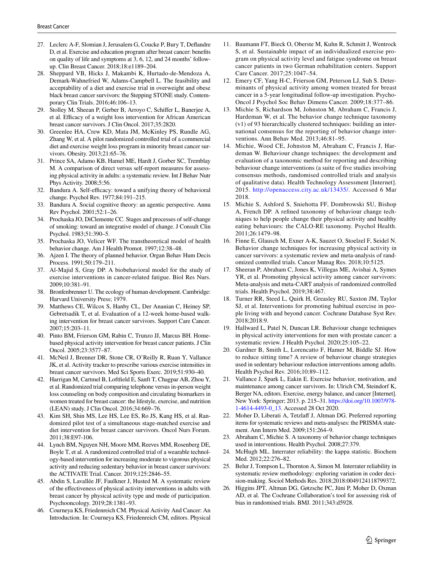- <span id="page-14-15"></span>27. Leclerc A-F, Slomian J, Jerusalem G, Coucke P, Bury T, Defandre D, et al. Exercise and education program after breast cancer: benefts on quality of life and symptoms at 3, 6, 12, and 24 months' followup. Clin Breast Cancer. 2018;18:e1189–204.
- <span id="page-14-16"></span>28. Sheppard VB, Hicks J, Makambi K, Hurtado-de-Mendoza A, Demark-Wahnefried W, Adams-Campbell L. The feasibility and acceptability of a diet and exercise trial in overweight and obese black breast cancer survivors: the Stepping STONE study. Contemporary Clin Trials. 2016;46:106–13.
- <span id="page-14-17"></span>29. Stolley M, Sheean P, Gerber B, Arroyo C, Schifer L, Banerjee A, et al. Efficacy of a weight loss intervention for African American breast cancer survivors. J Clin Oncol. 2017;35:2820.
- <span id="page-14-18"></span>30. Greenlee HA, Crew KD, Mata JM, McKinley PS, Rundle AG, Zhang W, et al. A pilot randomized controlled trial of a commercial diet and exercise weight loss program in minority breast cancer survivors. Obesity. 2013;21:65–76.
- <span id="page-14-19"></span>31. Prince SA, Adamo KB, Hamel ME, Hardt J, Gorber SC, Tremblay M. A comparison of direct versus self-report measures for assessing physical activity in adults: a systematic review. Int J Behav Nutr Phys Activity. 2008;5:56.
- <span id="page-14-20"></span>32. Bandura A. Self-efficacy: toward a unifying theory of behavioral change. Psychol Rev. 1977;84:191–215.
- <span id="page-14-21"></span>33. Bandura A. Social cognitive theory: an agentic perspective. Annu Rev Psychol. 2001;52:1–26.
- <span id="page-14-22"></span>34. Prochaska JO, DiClemente CC. Stages and processes of self-change of smoking: toward an integrative model of change. J Consult Clin Psychol. 1983;51:390–5.
- <span id="page-14-23"></span>35. Prochaska JO, Velicer WF. The transtheoretical model of health behavior change. Am J Health Promot. 1997;12:38–48.
- <span id="page-14-24"></span>36. Ajzen I. The theory of planned behavior. Organ Behav Hum Decis Process. 1991;50:179–211.
- <span id="page-14-25"></span>37. Al-Majid S, Gray DP. A biobehavioral model for the study of exercise interventions in cancer-related fatigue. Biol Res Nurs. 2009;10:381–91.
- <span id="page-14-26"></span>38. Bronfenbrenner U. The ecology of human development. Cambridge: Harvard University Press; 1979.
- <span id="page-14-27"></span>39. Matthews CE, Wilcox S, Hanby CL, Der Ananian C, Heiney SP, Gebretsadik T, et al. Evaluation of a 12-week home-based walking intervention for breast cancer survivors. Support Care Cancer. 2007;15:203–11.
- <span id="page-14-28"></span>40. Pinto BM, Frierson GM, Rabin C, Trunzo JJ, Marcus BH. Homebased physical activity intervention for breast cancer patients. J Clin Oncol. 2005;23:3577–87.
- <span id="page-14-29"></span>41. McNeil J, Brenner DR, Stone CR, O'Reilly R, Ruan Y, Vallance JK, et al. Activity tracker to prescribe various exercise intensities in breast cancer survivors. Med Sci Sports Exerc. 2019;51:930–40.
- <span id="page-14-30"></span>42. Harrigan M, Cartmel B, Loftfeld E, Sanft T, Chagpar AB, Zhou Y, et al. Randomized trial comparing telephone versus in-person weight loss counseling on body composition and circulating biomarkers in women treated for breast cancer: the lifestyle, exercise, and nutrition (LEAN) study. J Clin Oncol. 2016;34:669–76.
- 43. Kim SH, Shin MS, Lee HS, Lee ES, Ro JS, Kang HS, et al. Randomized pilot test of a simultaneous stage-matched exercise and diet intervention for breast cancer survivors. Oncol Nurs Forum. 2011;38:E97-106.
- <span id="page-14-31"></span>44. Lynch BM, Nguyen NH, Moore MM, Reeves MM, Rosenberg DE, Boyle T, et al. A randomized controlled trial of a wearable technology-based intervention for increasing moderate to vigorous physical activity and reducing sedentary behavior in breast cancer survivors: the ACTIVATE Trial. Cancer. 2019;125:2846–55.
- <span id="page-14-32"></span>45. Abdin S, Lavallée JF, Faulkner J, Husted M. A systematic review of the efectiveness of physical activity interventions in adults with breast cancer by physical activity type and mode of participation. Psychooncology. 2019;28:1381–93.
- <span id="page-14-33"></span>46. Courneya KS, Friedenreich CM. Physical Activity And Cancer: An Introduction. In: Courneya KS, Friedenreich CM, editors. Physical
- <span id="page-14-0"></span>11. Baumann FT, Bieck O, Oberste M, Kuhn R, Schmitt J, Wentrock S, et al. Sustainable impact of an individualized exercise program on physical activity level and fatigue syndrome on breast cancer patients in two German rehabilitation centers. Support Care Cancer. 2017;25:1047–54.
- <span id="page-14-1"></span>12. Emery CF, Yang H-C, Frierson GM, Peterson LJ, Suh S. Determinants of physical activity among women treated for breast cancer in a 5-year longitudinal follow-up investigation. Psycho-Oncol J Psychol Soc Behav Dimens Cancer. 2009;18:377–86.
- <span id="page-14-2"></span>13. Michie S, Richardson M, Johnston M, Abraham C, Francis J, Hardeman W, et al. The behavior change technique taxonomy (v1) of 93 hierarchically clustered techniques: building an international consensus for the reporting of behavior change interventions. Ann Behav Med. 2013;46:81–95.
- <span id="page-14-3"></span>14. Michie, Wood CE, Johnston M, Abraham C, Francis J, Hardeman W. Behaviour change techniques: the development and evaluation of a taxonomic method for reporting and describing behaviour change interventions (a suite of fve studies involving consensus methods, randomised controlled trials and analysis of qualitative data). Health Technology Assessment [Internet]. 2015. <http://openaccess.city.ac.uk/13435/>. Accessed 6 Mar 2018.
- <span id="page-14-4"></span>15. Michie S, Ashford S, Sniehotta FF, Dombrowski SU, Bishop A, French DP. A refned taxonomy of behaviour change techniques to help people change their physical activity and healthy eating behaviours: the CALO-RE taxonomy. Psychol Health. 2011;26:1479–98.
- <span id="page-14-5"></span>16. Finne E, Glausch M, Exner A-K, Sauzet O, Stoelzel F, Seidel N. Behavior change techniques for increasing physical activity in cancer survivors: a systematic review and meta-analysis of randomized controlled trials. Cancer Manag Res. 2018;10:5125.
- 17. Sheeran P, Abraham C, Jones K, Villegas ME, Avishai A, Symes YR, et al. Promoting physical activity among cancer survivors: Meta-analysis and meta-CART analysis of randomized controlled trials. Health Psychol. 2019;38:467.
- <span id="page-14-6"></span>18. Turner RR, Steed L, Quirk H, Greasley RU, Saxton JM, Taylor SJ, et al. Interventions for promoting habitual exercise in people living with and beyond cancer. Cochrane Database Syst Rev. 2018;2018:9.
- <span id="page-14-7"></span>19. Hallward L, Patel N, Duncan LR. Behaviour change techniques in physical activity interventions for men with prostate cancer: a systematic review. J Health Psychol. 2020;25:105–22.
- <span id="page-14-8"></span>20. Gardner B, Smith L, Lorencatto F, Hamer M, Biddle SJ. How to reduce sitting time? A review of behaviour change strategies used in sedentary behaviour reduction interventions among adults. Health Psychol Rev. 2016;10:89–112.
- <span id="page-14-9"></span>21. Vallance J, Spark L, Eakin E. Exercise behavior, motivation, and maintenance among cancer survivors. In: Ulrich CM, Steindorf K, Berger NA, editors. Exercise, energy balance, and cancer [Internet]. New York: Springer; 2013. p. 215–31. [https://doi.org/10.1007/978-](https://doi.org/10.1007/978-1-4614-4493-0_13) [1-4614-4493-0\\_13.](https://doi.org/10.1007/978-1-4614-4493-0_13) Accessed 28 Oct 2020.
- <span id="page-14-10"></span>22. Moher D, Liberati A, Tetzlaff J, Altman DG. Preferred reporting items for systematic reviews and meta-analyses: the PRISMA statement. Ann Intern Med. 2009;151:264–9.
- <span id="page-14-11"></span>23. Abraham C, Michie S. A taxonomy of behavior change techniques used in interventions. Health Psychol. 2008;27:379.
- <span id="page-14-12"></span>24. McHugh ML. Interrater reliability: the kappa statistic. Biochem Med. 2012;22:276–82.
- <span id="page-14-13"></span>25. Belur J, Tompson L, Thornton A, Simon M. Interrater reliability in systematic review methodology: exploring variation in coder decision-making. Sociol Methods Res. 2018;2018:0049124118799372.
- <span id="page-14-14"></span>26. Higgins JPT, Altman DG, Gøtzsche PC, Jüni P, Moher D, Oxman AD, et al. The Cochrane Collaboration's tool for assessing risk of bias in randomised trials. BMJ. 2011;343:d5928.